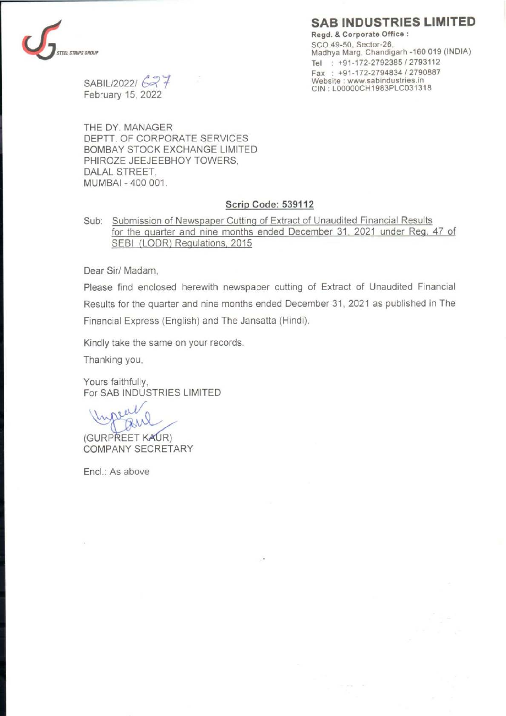## SAB INDUSTRIES LIMITED



the contract of the contract of the contract of the contract of the contract of

Regd. & Corporate Office : SCO 49-50, Sector-26, EL STRIPS GROUP<br>
SARII 190991 (Canadigarh -160 019 (INDIA)<br>
Tel : +91-172-2792385 / 2793112<br>
Fax : +91-172-2794834 / 2790887<br>
Website : www.sabindustries.in

 $SABILITY0221627$ CIN : LOOOOOCH1983PLC031318<br>February 15, 2022

THE DY. MANAGER DEPTT. OF CORPORATE SERVICES BOMBAY STOCK EXCHANGE LIMITED PHIROZE JEEJEEBHOY TOWERS, DALAL STREET, MUMBAI - 400 001.

## Scrip Code: 539112

Sub: Submission of Newspaper Cutting of Extract of Unaudited Financial Results for the quarter and nine months ended December 31, 2021 under Reg. 47 of SEBI (LODR) Regulations, 2015

Dear Sir/ Madam,

Please find enclosed herewith newspaper cutting of Extract of Unaudited Financial Results for the quarter and nine months ended December 31, 2021 as published in The Financial Express (English) and The Jansatta (Hindi).

Kindly take the same on your records.

Thanking you,

Yours faithfully,

For SAB INDUSTRIES LIMITED  $\mathcal{U}_{\alpha}$ 

(GURPREET KAUR)<br>COMPANY SECRETARY

Encl.: As above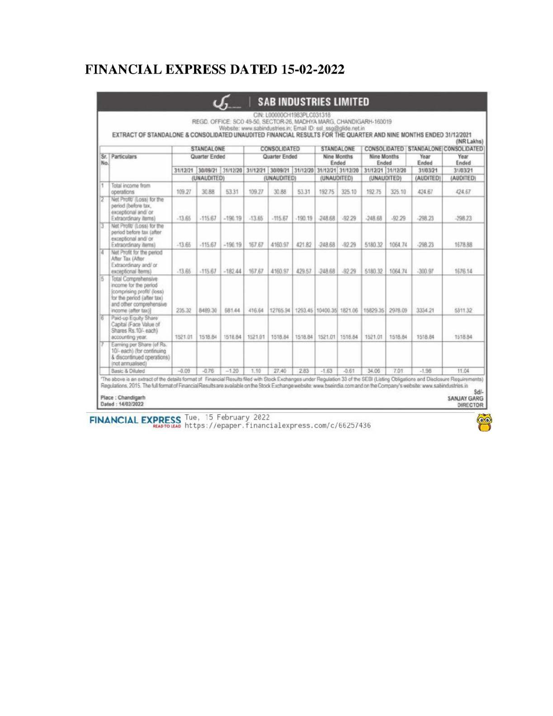## **FINANCIAL EXPRESS DATED 15-02-2022**

|               | Website: www.sabindustries.in; Email ID: ssl_ssg@glide.net.in<br>EXTRACT OF STANDALONE & CONSOLIDATED UNAUDITED FINANCIAL RESULTS FOR THE QUARTER AND NINE MONTHS ENDED 31/12/2021<br>CONSOLIDATED   STANDALONE CONSOLIDATED |                                           |           |                                                             |                                      |           |             |                                           |                                  |                      |                       |               | (INR Lakhs)                            |                                 |
|---------------|------------------------------------------------------------------------------------------------------------------------------------------------------------------------------------------------------------------------------|-------------------------------------------|-----------|-------------------------------------------------------------|--------------------------------------|-----------|-------------|-------------------------------------------|----------------------------------|----------------------|-----------------------|---------------|----------------------------------------|---------------------------------|
| No.           | Sr. Particulars                                                                                                                                                                                                              | STANDALONE<br>Quarter Ended               |           |                                                             | <b>CONSOLIDATED</b><br>Quarter Ended |           |             | <b>STANDALONE</b><br>Nine Months<br>Ended |                                  | Nine Months<br>Ended |                       | Year<br>Ended | Year<br>Ended<br>31/03/21<br>(AUDITED) |                                 |
|               |                                                                                                                                                                                                                              | 31/12/21 30/09/21 31/12/20<br>(UNAUDITED) |           | 31/12/21 30/09/21 31/12/20 31/12/21 31/12/20<br>(UNAUDITED) |                                      |           | (UNAUDITED) |                                           | 31/12/21 31/12/20<br>(UNAUDITED) |                      | 31/03/21<br>(AUDITED) |               |                                        |                                 |
|               |                                                                                                                                                                                                                              |                                           |           |                                                             |                                      |           |             |                                           |                                  |                      |                       | н             |                                        | Total income from<br>operations |
|               | Net Profit/ (Loss) for the<br>period (before tax.<br>exceptional and/ or<br>Extraordinary items)                                                                                                                             | $-13.65$                                  | $-115.67$ | $-190.19$                                                   | $-13.65$                             | $-115.67$ | $-190.19$   | $-248.68$                                 | $-92.29$                         | $-248.68$            | $-92.29$              | -298.23       | -298.23                                |                                 |
|               | Net Profit/ (Loss) for the<br>period before tax (after<br>exceptional and/ or<br>Extraordinary items)                                                                                                                        | $-13.66$                                  | $-115.67$ | $-190.19$                                                   | 167.67                               | 4160.97   | 421.82      | $-248.68$                                 | .92.29                           | 5180.32              | 1064.74               | $-298.23$     | 1678.88                                |                                 |
| īΔ            | Net Profit for the period<br>After Tax (After<br>Extraordinary and/ or<br>exceptional items)                                                                                                                                 | $-13.65$                                  | $-115.67$ | $-182.44$                                                   | 167.67                               | 4160.97   | 429.57      | $-248.68$                                 | $-92.29$                         | 5180.32              | 1064.74               | $-300.97$     | 1676.14                                |                                 |
| $\frac{1}{5}$ | Total Comprehensive<br>income for the period<br>(comprising profit/ (loss)<br>for the period (after tax)<br>and other comprehensive<br>income (after tax))                                                                   | 235.32                                    | 8489.30   | 681.44                                                      | 416.64                               | 12765.94  |             | 1293.45 10400.35 1821.06                  |                                  | 15829.35 2978.09     |                       | 3334.21       | 5311.32                                |                                 |
|               | Paid-up Equity Share<br>Capital (Face Value of<br>Shares Rs.10/-each)<br>accounting year.                                                                                                                                    | 1521.01                                   | 1518.84   | 1518.84                                                     | 1521.01                              | 1518.84   |             | 1518.84 1521.01 1518.84                   |                                  | 1521.01              | 1518.84               | 1518.84       | 1518.84                                |                                 |
|               | Earning per Share (of Rs.<br>10/- each) (for continuing<br>& discontinued operations)<br>(not annualised)                                                                                                                    |                                           |           |                                                             |                                      |           |             |                                           |                                  |                      |                       |               |                                        |                                 |
|               | Basic & Diluted                                                                                                                                                                                                              | $-0.09$                                   | $-0.76$   | $-1.20$                                                     | 1.10                                 | 27.40     | 2.83        | $-1.63$                                   | $-0.61$                          | 34.06                | 7.01                  | $-1.98$       | 11.04                                  |                                 |

FINANCIAL EXPRESS Tue, 15 February 2022<br>https://epaper.financialexpress.com/c/66257436

 $\bullet$